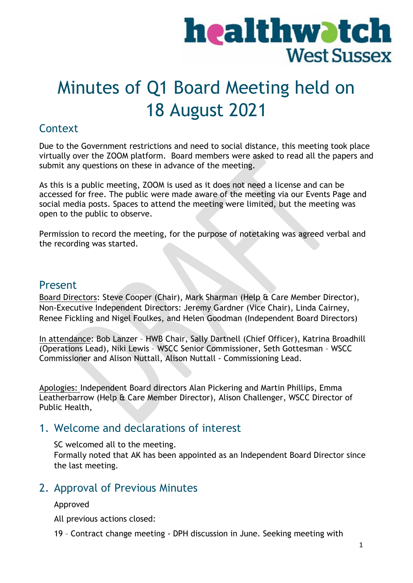# healthwatch **West Sussex**

## Minutes of Q1 Board Meeting held on 18 August 2021

## **Context**

Due to the Government restrictions and need to social distance, this meeting took place virtually over the ZOOM platform. Board members were asked to read all the papers and submit any questions on these in advance of the meeting.

As this is a public meeting, ZOOM is used as it does not need a license and can be accessed for free. The public were made aware of the meeting via our Events Page and social media posts. Spaces to attend the meeting were limited, but the meeting was open to the public to observe.

Permission to record the meeting, for the purpose of notetaking was agreed verbal and the recording was started.

## Present

Board Directors: Steve Cooper (Chair), Mark Sharman (Help & Care Member Director), Non-Executive Independent Directors: Jeremy Gardner (Vice Chair), Linda Cairney, Renee Fickling and Nigel Foulkes, and Helen Goodman (Independent Board Directors)

In attendance: Bob Lanzer – HWB Chair, Sally Dartnell (Chief Officer), Katrina Broadhill (Operations Lead), Niki Lewis – WSCC Senior Commissioner, Seth Gottesman – WSCC Commissioner and Alison Nuttall, Alison Nuttall - Commissioning Lead.

Apologies: Independent Board directors Alan Pickering and Martin Phillips, Emma Leatherbarrow (Help & Care Member Director), Alison Challenger, WSCC Director of Public Health,

## 1. Welcome and declarations of interest

SC welcomed all to the meeting. Formally noted that AK has been appointed as an Independent Board Director since the last meeting.

## 2. Approval of Previous Minutes

#### Approved

All previous actions closed:

19 – Contract change meeting - DPH discussion in June. Seeking meeting with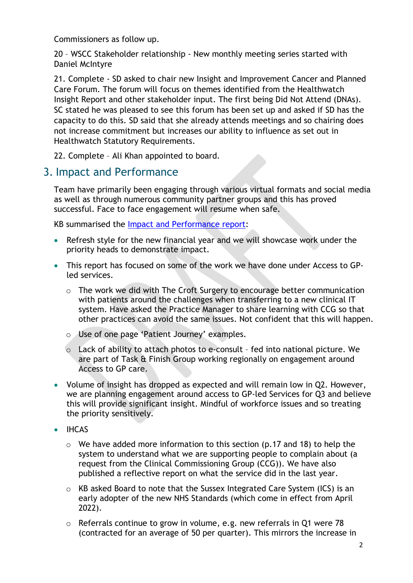Commissioners as follow up.

20 – WSCC Stakeholder relationship - New monthly meeting series started with Daniel McIntyre

21. Complete - SD asked to chair new Insight and Improvement Cancer and Planned Care Forum. The forum will focus on themes identified from the Healthwatch Insight Report and other stakeholder input. The first being Did Not Attend (DNAs). SC stated he was pleased to see this forum has been set up and asked if SD has the capacity to do this. SD said that she already attends meetings and so chairing does not increase commitment but increases our ability to influence as set out in Healthwatch Statutory Requirements.

22. Complete – Ali Khan appointed to board.

## 3. Impact and Performance

Team have primarily been engaging through various virtual formats and social media as well as through numerous community partner groups and this has proved successful. Face to face engagement will resume when safe.

KB summarised the [Impact and Performance report:](https://www.healthwatchwestsussex.co.uk/report/2021-04-19/impact-performance-report-january-march-2021-q4)

- Refresh style for the new financial year and we will showcase work under the priority heads to demonstrate impact.
- This report has focused on some of the work we have done under Access to GPled services.
	- o The work we did with The Croft Surgery to encourage better communication with patients around the challenges when transferring to a new clinical IT system. Have asked the Practice Manager to share learning with CCG so that other practices can avoid the same issues. Not confident that this will happen.
	- o Use of one page 'Patient Journey' examples.
	- o Lack of ability to attach photos to e-consult fed into national picture. We are part of Task & Finish Group working regionally on engagement around Access to GP care.
- Volume of insight has dropped as expected and will remain low in Q2. However, we are planning engagement around access to GP-led Services for Q3 and believe this will provide significant insight. Mindful of workforce issues and so treating the priority sensitively.
- **IHCAS** 
	- $\circ$  We have added more information to this section (p.17 and 18) to help the system to understand what we are supporting people to complain about (a request from the Clinical Commissioning Group (CCG)). We have also published a reflective report on what the service did in the last year.
	- o KB asked Board to note that the Sussex Integrated Care System (ICS) is an early adopter of the new NHS Standards (which come in effect from April 2022).
	- o Referrals continue to grow in volume, e.g. new referrals in Q1 were 78 (contracted for an average of 50 per quarter). This mirrors the increase in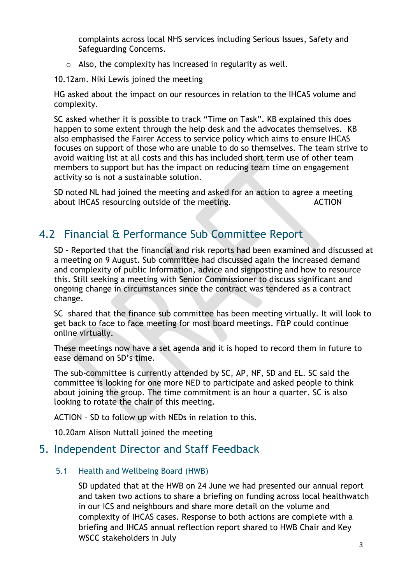complaints across local NHS services including Serious Issues, Safety and Safeguarding Concerns.

- $\circ$  Also, the complexity has increased in regularity as well.
- 10.12am. Niki Lewis joined the meeting

HG asked about the impact on our resources in relation to the IHCAS volume and complexity.

SC asked whether it is possible to track "Time on Task". KB explained this does happen to some extent through the help desk and the advocates themselves. KB also emphasised the Fairer Access to service policy which aims to ensure IHCAS focuses on support of those who are unable to do so themselves. The team strive to avoid waiting list at all costs and this has included short term use of other team members to support but has the impact on reducing team time on engagement activity so is not a sustainable solution.

SD noted NL had joined the meeting and asked for an action to agree a meeting about IHCAS resourcing outside of the meeting. ACTION

## 4.2 Financial & Performance Sub Committee Report

SD - Reported that the financial and risk reports had been examined and discussed at a meeting on 9 August. Sub committee had discussed again the increased demand and complexity of public Information, advice and signposting and how to resource this. Still seeking a meeting with Senior Commissioner to discuss significant and ongoing change in circumstances since the contract was tendered as a contract change.

SC shared that the finance sub committee has been meeting virtually. It will look to get back to face to face meeting for most board meetings. F&P could continue online virtually.

These meetings now have a set agenda and it is hoped to record them in future to ease demand on SD's time.

The sub-committee is currently attended by SC, AP, NF, SD and EL. SC said the committee is looking for one more NED to participate and asked people to think about joining the group. The time commitment is an hour a quarter. SC is also looking to rotate the chair of this meeting.

ACTION – SD to follow up with NEDs in relation to this.

10.20am Alison Nuttall joined the meeting

## 5. Independent Director and Staff Feedback

#### 5.1 Health and Wellbeing Board (HWB)

SD updated that at the HWB on 24 June we had presented our annual report and taken two actions to share a briefing on funding across local healthwatch in our ICS and neighbours and share more detail on the volume and complexity of IHCAS cases. Response to both actions are complete with a briefing and IHCAS annual reflection report shared to HWB Chair and Key WSCC stakeholders in July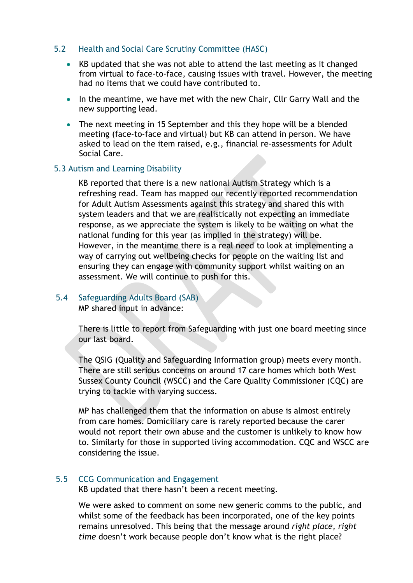#### 5.2 Health and Social Care Scrutiny Committee (HASC)

- KB updated that she was not able to attend the last meeting as it changed from virtual to face-to-face, causing issues with travel. However, the meeting had no items that we could have contributed to.
- In the meantime, we have met with the new Chair, Cllr Garry Wall and the new supporting lead.
- The next meeting in 15 September and this they hope will be a blended meeting (face-to-face and virtual) but KB can attend in person. We have asked to lead on the item raised, e.g., financial re-assessments for Adult Social Care.

#### 5.3 Autism and Learning Disability

KB reported that there is a new national Autism Strategy which is a refreshing read. Team has mapped our recently reported recommendation for Adult Autism Assessments against this strategy and shared this with system leaders and that we are realistically not expecting an immediate response, as we appreciate the system is likely to be waiting on what the national funding for this year (as implied in the strategy) will be. However, in the meantime there is a real need to look at implementing a way of carrying out wellbeing checks for people on the waiting list and ensuring they can engage with community support whilst waiting on an assessment. We will continue to push for this.

#### 5.4 Safeguarding Adults Board (SAB)

MP shared input in advance:

There is little to report from Safeguarding with just one board meeting since our last board.

The QSIG (Quality and Safeguarding Information group) meets every month. There are still serious concerns on around 17 care homes which both West Sussex County Council (WSCC) and the Care Quality Commissioner (CQC) are trying to tackle with varying success.

MP has challenged them that the information on abuse is almost entirely from care homes. Domiciliary care is rarely reported because the carer would not report their own abuse and the customer is unlikely to know how to. Similarly for those in supported living accommodation. CQC and WSCC are considering the issue.

#### 5.5 CCG Communication and Engagement

KB updated that there hasn't been a recent meeting.

We were asked to comment on some new generic comms to the public, and whilst some of the feedback has been incorporated, one of the key points remains unresolved. This being that the message around *right place, right time* doesn't work because people don't know what is the right place?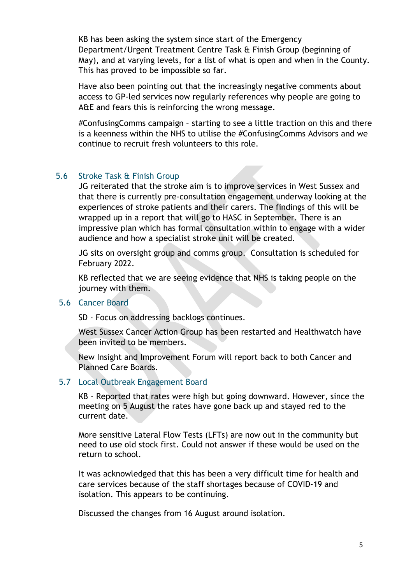KB has been asking the system since start of the Emergency Department/Urgent Treatment Centre Task & Finish Group (beginning of May), and at varying levels, for a list of what is open and when in the County. This has proved to be impossible so far.

Have also been pointing out that the increasingly negative comments about access to GP-led services now regularly references why people are going to A&E and fears this is reinforcing the wrong message.

#ConfusingComms campaign – starting to see a little traction on this and there is a keenness within the NHS to utilise the #ConfusingComms Advisors and we continue to recruit fresh volunteers to this role.

#### 5.6 Stroke Task & Finish Group

JG reiterated that the stroke aim is to improve services in West Sussex and that there is currently pre-consultation engagement underway looking at the experiences of stroke patients and their carers. The findings of this will be wrapped up in a report that will go to HASC in September. There is an impressive plan which has formal consultation within to engage with a wider audience and how a specialist stroke unit will be created.

JG sits on oversight group and comms group. Consultation is scheduled for February 2022.

KB reflected that we are seeing evidence that NHS is taking people on the journey with them.

#### 5.6 Cancer Board

SD - Focus on addressing backlogs continues.

West Sussex Cancer Action Group has been restarted and Healthwatch have been invited to be members.

New Insight and Improvement Forum will report back to both Cancer and Planned Care Boards.

#### 5.7 Local Outbreak Engagement Board

KB - Reported that rates were high but going downward. However, since the meeting on 5 August the rates have gone back up and stayed red to the current date.

More sensitive Lateral Flow Tests (LFTs) are now out in the community but need to use old stock first. Could not answer if these would be used on the return to school.

It was acknowledged that this has been a very difficult time for health and care services because of the staff shortages because of COVID-19 and isolation. This appears to be continuing.

Discussed the changes from 16 August around isolation.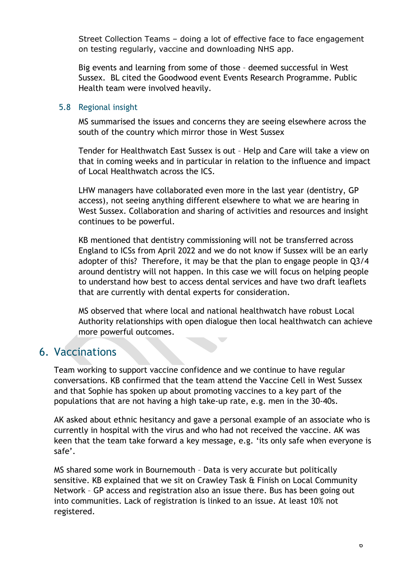Street Collection Teams – doing a lot of effective face to face engagement on testing regularly, vaccine and downloading NHS app.

Big events and learning from some of those – deemed successful in West Sussex. BL cited the Goodwood event Events Research Programme. Public Health team were involved heavily.

#### 5.8 Regional insight

MS summarised the issues and concerns they are seeing elsewhere across the south of the country which mirror those in West Sussex

Tender for Healthwatch East Sussex is out – Help and Care will take a view on that in coming weeks and in particular in relation to the influence and impact of Local Healthwatch across the ICS.

LHW managers have collaborated even more in the last year (dentistry, GP access), not seeing anything different elsewhere to what we are hearing in West Sussex. Collaboration and sharing of activities and resources and insight continues to be powerful.

KB mentioned that dentistry commissioning will not be transferred across England to ICSs from April 2022 and we do not know if Sussex will be an early adopter of this? Therefore, it may be that the plan to engage people in Q3/4 around dentistry will not happen. In this case we will focus on helping people to understand how best to access dental services and have two draft leaflets that are currently with dental experts for consideration.

MS observed that where local and national healthwatch have robust Local Authority relationships with open dialogue then local healthwatch can achieve more powerful outcomes.  $\overline{\phantom{a}}$ 

## 6. Vaccinations

Team working to support vaccine confidence and we continue to have regular conversations. KB confirmed that the team attend the Vaccine Cell in West Sussex and that Sophie has spoken up about promoting vaccines to a key part of the populations that are not having a high take-up rate, e.g. men in the 30-40s.

AK asked about ethnic hesitancy and gave a personal example of an associate who is currently in hospital with the virus and who had not received the vaccine. AK was keen that the team take forward a key message, e.g. 'its only safe when everyone is safe'.

MS shared some work in Bournemouth – Data is very accurate but politically sensitive. KB explained that we sit on Crawley Task & Finish on Local Community Network – GP access and registration also an issue there. Bus has been going out into communities. Lack of registration is linked to an issue. At least 10% not registered.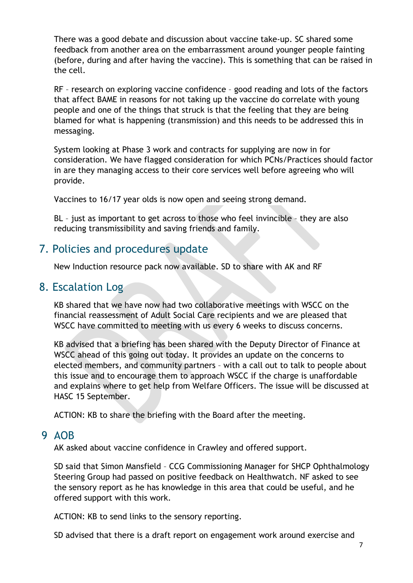There was a good debate and discussion about vaccine take-up. SC shared some feedback from another area on the embarrassment around younger people fainting (before, during and after having the vaccine). This is something that can be raised in the cell.

RF – research on exploring vaccine confidence – good reading and lots of the factors that affect BAME in reasons for not taking up the vaccine do correlate with young people and one of the things that struck is that the feeling that they are being blamed for what is happening (transmission) and this needs to be addressed this in messaging.

System looking at Phase 3 work and contracts for supplying are now in for consideration. We have flagged consideration for which PCNs/Practices should factor in are they managing access to their core services well before agreeing who will provide.

Vaccines to 16/17 year olds is now open and seeing strong demand.

BL – just as important to get across to those who feel invincible – they are also reducing transmissibility and saving friends and family.

## 7. Policies and procedures update

New Induction resource pack now available. SD to share with AK and RF

## 8. Escalation Log

KB shared that we have now had two collaborative meetings with WSCC on the financial reassessment of Adult Social Care recipients and we are pleased that WSCC have committed to meeting with us every 6 weeks to discuss concerns.

KB advised that a briefing has been shared with the Deputy Director of Finance at WSCC ahead of this going out today. It provides an update on the concerns to elected members, and community partners – with a call out to talk to people about this issue and to encourage them to approach WSCC if the charge is unaffordable and explains where to get help from Welfare Officers. The issue will be discussed at HASC 15 September.

ACTION: KB to share the briefing with the Board after the meeting.

### 9 AOB

AK asked about vaccine confidence in Crawley and offered support.

SD said that Simon Mansfield – CCG Commissioning Manager for SHCP Ophthalmology Steering Group had passed on positive feedback on Healthwatch. NF asked to see the sensory report as he has knowledge in this area that could be useful, and he offered support with this work.

ACTION: KB to send links to the sensory reporting.

SD advised that there is a draft report on engagement work around exercise and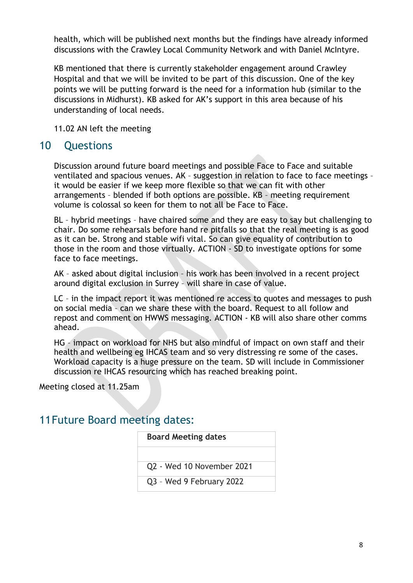health, which will be published next months but the findings have already informed discussions with the Crawley Local Community Network and with Daniel McIntyre.

KB mentioned that there is currently stakeholder engagement around Crawley Hospital and that we will be invited to be part of this discussion. One of the key points we will be putting forward is the need for a information hub (similar to the discussions in Midhurst). KB asked for AK's support in this area because of his understanding of local needs.

11.02 AN left the meeting

## 10 Questions

Discussion around future board meetings and possible Face to Face and suitable ventilated and spacious venues. AK – suggestion in relation to face to face meetings – it would be easier if we keep more flexible so that we can fit with other arrangements – blended if both options are possible. KB – meeting requirement volume is colossal so keen for them to not all be Face to Face.

BL – hybrid meetings – have chaired some and they are easy to say but challenging to chair. Do some rehearsals before hand re pitfalls so that the real meeting is as good as it can be. Strong and stable wifi vital. So can give equality of contribution to those in the room and those virtually. ACTION - SD to investigate options for some face to face meetings.

AK – asked about digital inclusion – his work has been involved in a recent project around digital exclusion in Surrey – will share in case of value.

LC – in the impact report it was mentioned re access to quotes and messages to push on social media – can we share these with the board. Request to all follow and repost and comment on HWWS messaging. ACTION - KB will also share other comms ahead.

HG – impact on workload for NHS but also mindful of impact on own staff and their health and wellbeing eg IHCAS team and so very distressing re some of the cases. Workload capacity is a huge pressure on the team. SD will include in Commissioner discussion re IHCAS resourcing which has reached breaking point.

Meeting closed at 11.25am

## 11Future Board meeting dates:

| <b>Board Meeting dates</b> |  |
|----------------------------|--|
|                            |  |
| Q2 - Wed 10 November 2021  |  |
| Q3 - Wed 9 February 2022   |  |